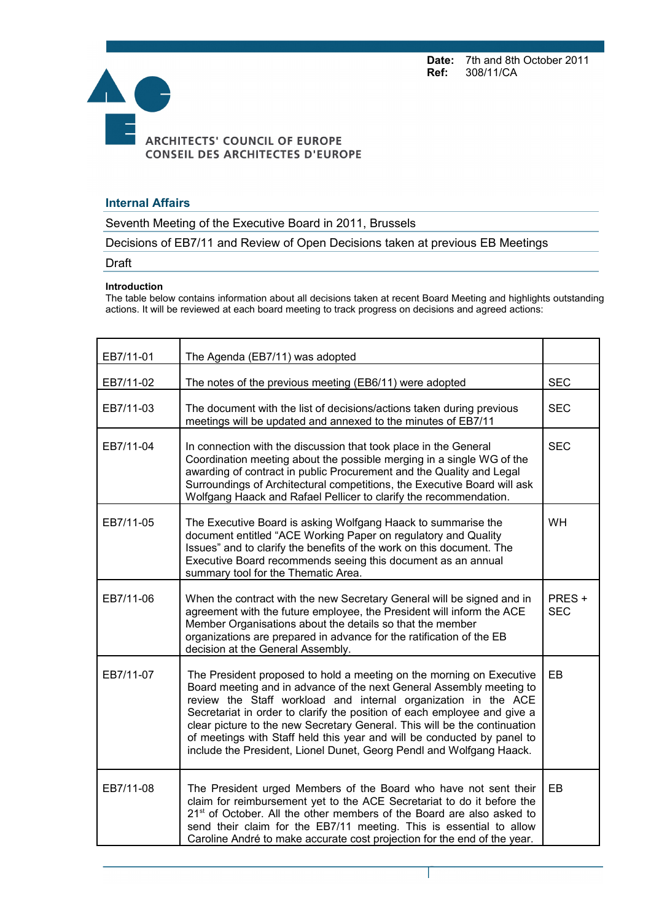**Date:** 7th and 8th October 2011<br>**Ref:** 308/11/CA **Ref:** 308/11/CA



## **Internal Affairs**

Seventh Meeting of the Executive Board in 2011, Brussels

Decisions of EB7/11 and Review of Open Decisions taken at previous EB Meetings

Draft

## **Introduction**

The table below contains information about all decisions taken at recent Board Meeting and highlights outstanding actions. It will be reviewed at each board meeting to track progress on decisions and agreed actions:

| EB7/11-01 | The Agenda (EB7/11) was adopted                                                                                                                                                                                                                                                                                                                                                                                                                                                                                            |                     |  |
|-----------|----------------------------------------------------------------------------------------------------------------------------------------------------------------------------------------------------------------------------------------------------------------------------------------------------------------------------------------------------------------------------------------------------------------------------------------------------------------------------------------------------------------------------|---------------------|--|
| EB7/11-02 | The notes of the previous meeting (EB6/11) were adopted                                                                                                                                                                                                                                                                                                                                                                                                                                                                    |                     |  |
| EB7/11-03 | The document with the list of decisions/actions taken during previous<br>meetings will be updated and annexed to the minutes of EB7/11                                                                                                                                                                                                                                                                                                                                                                                     |                     |  |
| EB7/11-04 | In connection with the discussion that took place in the General<br>Coordination meeting about the possible merging in a single WG of the<br>awarding of contract in public Procurement and the Quality and Legal<br>Surroundings of Architectural competitions, the Executive Board will ask<br>Wolfgang Haack and Rafael Pellicer to clarify the recommendation.                                                                                                                                                         |                     |  |
| EB7/11-05 | The Executive Board is asking Wolfgang Haack to summarise the<br>document entitled "ACE Working Paper on regulatory and Quality<br>Issues" and to clarify the benefits of the work on this document. The<br>Executive Board recommends seeing this document as an annual<br>summary tool for the Thematic Area.                                                                                                                                                                                                            | <b>WH</b>           |  |
| EB7/11-06 | When the contract with the new Secretary General will be signed and in<br>agreement with the future employee, the President will inform the ACE<br>Member Organisations about the details so that the member<br>organizations are prepared in advance for the ratification of the EB<br>decision at the General Assembly.                                                                                                                                                                                                  | PRES+<br><b>SEC</b> |  |
| EB7/11-07 | The President proposed to hold a meeting on the morning on Executive<br>Board meeting and in advance of the next General Assembly meeting to<br>review the Staff workload and internal organization in the ACE<br>Secretariat in order to clarify the position of each employee and give a<br>clear picture to the new Secretary General. This will be the continuation<br>of meetings with Staff held this year and will be conducted by panel to<br>include the President, Lionel Dunet, Georg Pendl and Wolfgang Haack. | EB                  |  |
| EB7/11-08 | The President urged Members of the Board who have not sent their<br>claim for reimbursement yet to the ACE Secretariat to do it before the<br>21 <sup>st</sup> of October. All the other members of the Board are also asked to<br>send their claim for the EB7/11 meeting. This is essential to allow<br>Caroline André to make accurate cost projection for the end of the year.                                                                                                                                         | EB                  |  |

Page 1 sur 5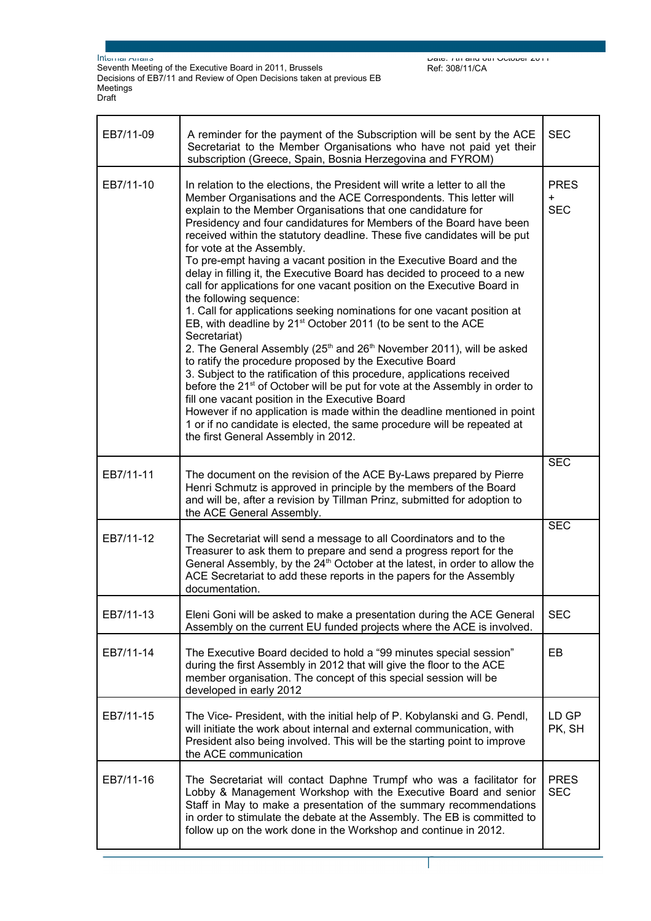Seventh Meeting of the Executive Board in 2011, Brussels Decisions of EB7/11 and Review of Open Decisions taken at previous EB Meetings Draft

| EB7/11-09 | A reminder for the payment of the Subscription will be sent by the ACE<br>Secretariat to the Member Organisations who have not paid yet their<br>subscription (Greece, Spain, Bosnia Herzegovina and FYROM)                                                                                                                                                                                                                                                                                                                                                                                                                                                                                                                                                                                                                                                                                                                                                                                                                                                                                                                                                                                                                                                                                                                                                                                                         |            |  |
|-----------|---------------------------------------------------------------------------------------------------------------------------------------------------------------------------------------------------------------------------------------------------------------------------------------------------------------------------------------------------------------------------------------------------------------------------------------------------------------------------------------------------------------------------------------------------------------------------------------------------------------------------------------------------------------------------------------------------------------------------------------------------------------------------------------------------------------------------------------------------------------------------------------------------------------------------------------------------------------------------------------------------------------------------------------------------------------------------------------------------------------------------------------------------------------------------------------------------------------------------------------------------------------------------------------------------------------------------------------------------------------------------------------------------------------------|------------|--|
| EB7/11-10 | In relation to the elections, the President will write a letter to all the<br>Member Organisations and the ACE Correspondents. This letter will<br>explain to the Member Organisations that one candidature for<br>Presidency and four candidatures for Members of the Board have been<br>received within the statutory deadline. These five candidates will be put<br>for vote at the Assembly.<br>To pre-empt having a vacant position in the Executive Board and the<br>delay in filling it, the Executive Board has decided to proceed to a new<br>call for applications for one vacant position on the Executive Board in<br>the following sequence:<br>1. Call for applications seeking nominations for one vacant position at<br>EB, with deadline by 21 <sup>st</sup> October 2011 (to be sent to the ACE<br>Secretariat)<br>2. The General Assembly (25 <sup>th</sup> and 26 <sup>th</sup> November 2011), will be asked<br>to ratify the procedure proposed by the Executive Board<br>3. Subject to the ratification of this procedure, applications received<br>before the 21 <sup>st</sup> of October will be put for vote at the Assembly in order to<br>fill one vacant position in the Executive Board<br>However if no application is made within the deadline mentioned in point<br>1 or if no candidate is elected, the same procedure will be repeated at<br>the first General Assembly in 2012. |            |  |
| EB7/11-11 | The document on the revision of the ACE By-Laws prepared by Pierre<br>Henri Schmutz is approved in principle by the members of the Board<br>and will be, after a revision by Tillman Prinz, submitted for adoption to<br>the ACE General Assembly.                                                                                                                                                                                                                                                                                                                                                                                                                                                                                                                                                                                                                                                                                                                                                                                                                                                                                                                                                                                                                                                                                                                                                                  | <b>SEC</b> |  |
| EB7/11-12 | The Secretariat will send a message to all Coordinators and to the<br>Treasurer to ask them to prepare and send a progress report for the<br>General Assembly, by the 24 <sup>th</sup> October at the latest, in order to allow the<br>ACE Secretariat to add these reports in the papers for the Assembly<br>documentation.                                                                                                                                                                                                                                                                                                                                                                                                                                                                                                                                                                                                                                                                                                                                                                                                                                                                                                                                                                                                                                                                                        |            |  |
| EB7/11-13 | Eleni Goni will be asked to make a presentation during the ACE General<br>Assembly on the current EU funded projects where the ACE is involved.                                                                                                                                                                                                                                                                                                                                                                                                                                                                                                                                                                                                                                                                                                                                                                                                                                                                                                                                                                                                                                                                                                                                                                                                                                                                     |            |  |
| EB7/11-14 | The Executive Board decided to hold a "99 minutes special session"<br>during the first Assembly in 2012 that will give the floor to the ACE<br>member organisation. The concept of this special session will be<br>developed in early 2012                                                                                                                                                                                                                                                                                                                                                                                                                                                                                                                                                                                                                                                                                                                                                                                                                                                                                                                                                                                                                                                                                                                                                                          |            |  |
| EB7/11-15 | The Vice- President, with the initial help of P. Kobylanski and G. Pendl,<br>will initiate the work about internal and external communication, with<br>President also being involved. This will be the starting point to improve<br>the ACE communication                                                                                                                                                                                                                                                                                                                                                                                                                                                                                                                                                                                                                                                                                                                                                                                                                                                                                                                                                                                                                                                                                                                                                           |            |  |
| EB7/11-16 | The Secretariat will contact Daphne Trumpf who was a facilitator for<br>Lobby & Management Workshop with the Executive Board and senior<br>Staff in May to make a presentation of the summary recommendations<br>in order to stimulate the debate at the Assembly. The EB is committed to<br>follow up on the work done in the Workshop and continue in 2012.                                                                                                                                                                                                                                                                                                                                                                                                                                                                                                                                                                                                                                                                                                                                                                                                                                                                                                                                                                                                                                                       |            |  |

Page 2 sur 5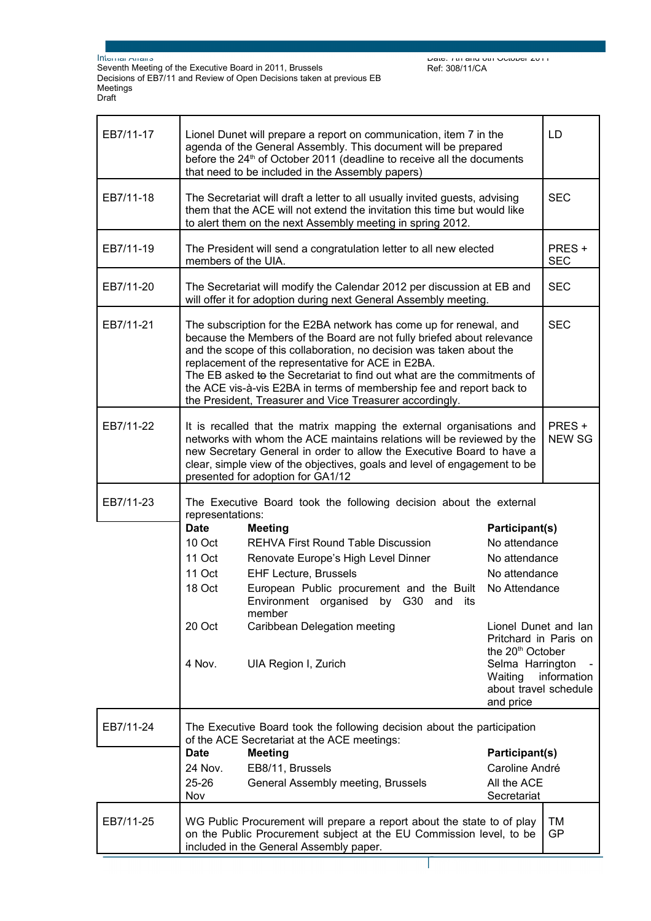Seventh Meeting of the Executive Board in 2011, Brussels Decisions of EB7/11 and Review of Open Decisions taken at previous EB Meetings Draft

Date: 7th and 8th October 2011 Ref: 308/11/CA

| EB7/11-17 | Lionel Dunet will prepare a report on communication, item 7 in the<br>agenda of the General Assembly. This document will be prepared<br>before the 24 <sup>th</sup> of October 2011 (deadline to receive all the documents<br>that need to be included in the Assembly papers)                                                                                                                                                                                                            |                                                                                                |                                                                               | LD                  |
|-----------|-------------------------------------------------------------------------------------------------------------------------------------------------------------------------------------------------------------------------------------------------------------------------------------------------------------------------------------------------------------------------------------------------------------------------------------------------------------------------------------------|------------------------------------------------------------------------------------------------|-------------------------------------------------------------------------------|---------------------|
| EB7/11-18 | The Secretariat will draft a letter to all usually invited guests, advising<br>them that the ACE will not extend the invitation this time but would like<br>to alert them on the next Assembly meeting in spring 2012.                                                                                                                                                                                                                                                                    |                                                                                                |                                                                               | <b>SEC</b>          |
| EB7/11-19 | The President will send a congratulation letter to all new elected<br>members of the UIA.                                                                                                                                                                                                                                                                                                                                                                                                 |                                                                                                |                                                                               | PRES+<br><b>SEC</b> |
| EB7/11-20 | The Secretariat will modify the Calendar 2012 per discussion at EB and<br>will offer it for adoption during next General Assembly meeting.                                                                                                                                                                                                                                                                                                                                                |                                                                                                |                                                                               | <b>SEC</b>          |
| EB7/11-21 | The subscription for the E2BA network has come up for renewal, and<br>because the Members of the Board are not fully briefed about relevance<br>and the scope of this collaboration, no decision was taken about the<br>replacement of the representative for ACE in E2BA.<br>The EB asked to the Secretariat to find out what are the commitments of<br>the ACE vis-à-vis E2BA in terms of membership fee and report back to<br>the President, Treasurer and Vice Treasurer accordingly. |                                                                                                |                                                                               | <b>SEC</b>          |
| EB7/11-22 | It is recalled that the matrix mapping the external organisations and<br>networks with whom the ACE maintains relations will be reviewed by the<br>new Secretary General in order to allow the Executive Board to have a<br>clear, simple view of the objectives, goals and level of engagement to be<br>presented for adoption for GA1/12                                                                                                                                                |                                                                                                | PRES +<br><b>NEW SG</b>                                                       |                     |
| EB7/11-23 | The Executive Board took the following decision about the external<br>representations:                                                                                                                                                                                                                                                                                                                                                                                                    |                                                                                                |                                                                               |                     |
|           | <b>Date</b>                                                                                                                                                                                                                                                                                                                                                                                                                                                                               | <b>Meeting</b>                                                                                 | Participant(s)                                                                |                     |
|           | 10 Oct                                                                                                                                                                                                                                                                                                                                                                                                                                                                                    | <b>REHVA First Round Table Discussion</b>                                                      | No attendance                                                                 |                     |
|           | 11 Oct                                                                                                                                                                                                                                                                                                                                                                                                                                                                                    | Renovate Europe's High Level Dinner                                                            | No attendance                                                                 |                     |
|           | 11 Oct                                                                                                                                                                                                                                                                                                                                                                                                                                                                                    | <b>EHF Lecture, Brussels</b>                                                                   | No attendance                                                                 |                     |
|           | 18 Oct                                                                                                                                                                                                                                                                                                                                                                                                                                                                                    | European Public procurement and the Built<br>Environment organised by G30<br>and its<br>member | No Attendance                                                                 |                     |
|           | 20 Oct                                                                                                                                                                                                                                                                                                                                                                                                                                                                                    | Caribbean Delegation meeting                                                                   | Lionel Dunet and lan<br>Pritchard in Paris on<br>the 20 <sup>th</sup> October |                     |
|           | 4 Nov.                                                                                                                                                                                                                                                                                                                                                                                                                                                                                    | UIA Region I, Zurich                                                                           | Selma Harrington<br>Waiting<br>about travel schedule<br>and price             | information         |
| EB7/11-24 | The Executive Board took the following decision about the participation<br>of the ACE Secretariat at the ACE meetings:                                                                                                                                                                                                                                                                                                                                                                    |                                                                                                |                                                                               |                     |
|           | <b>Date</b>                                                                                                                                                                                                                                                                                                                                                                                                                                                                               | <b>Meeting</b>                                                                                 | Participant(s)                                                                |                     |
|           | 24 Nov.                                                                                                                                                                                                                                                                                                                                                                                                                                                                                   | EB8/11, Brussels                                                                               | Caroline André                                                                |                     |
|           | 25-26<br>Nov                                                                                                                                                                                                                                                                                                                                                                                                                                                                              | General Assembly meeting, Brussels                                                             | All the ACE<br>Secretariat                                                    |                     |
| EB7/11-25 | WG Public Procurement will prepare a report about the state to of play<br>TM<br>on the Public Procurement subject at the EU Commission level, to be<br>GP<br>included in the General Assembly paper.                                                                                                                                                                                                                                                                                      |                                                                                                |                                                                               |                     |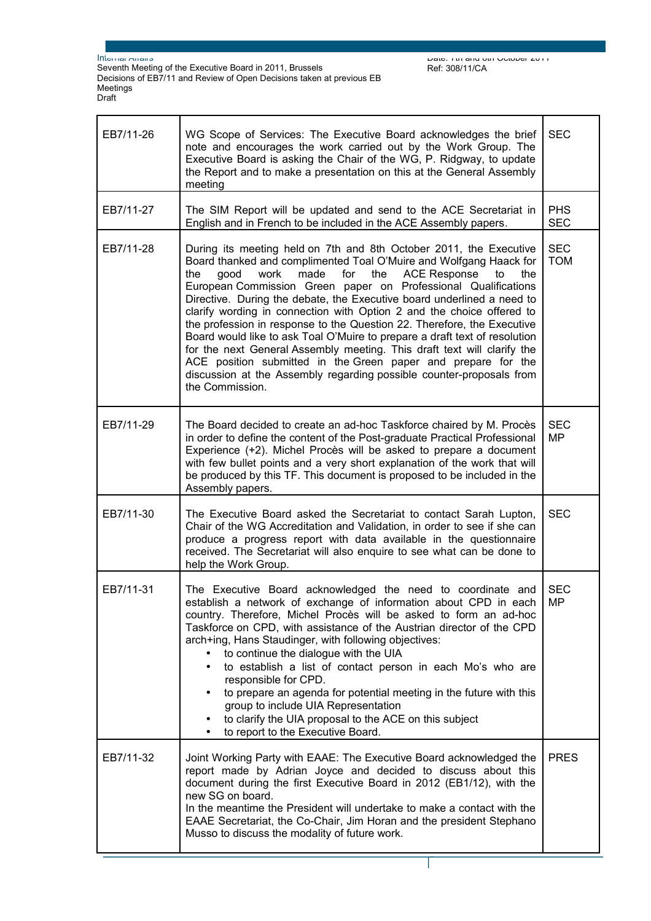Seventh Meeting of the Executive Board in 2011, Brussels Decisions of EB7/11 and Review of Open Decisions taken at previous EB Meetings Draft

| EB7/11-26 | WG Scope of Services: The Executive Board acknowledges the brief<br>note and encourages the work carried out by the Work Group. The<br>Executive Board is asking the Chair of the WG, P. Ridgway, to update<br>the Report and to make a presentation on this at the General Assembly<br>meeting                                                                                                                                                                                                                                                                                                                                                                                                                                                                                                                                                |                          |
|-----------|------------------------------------------------------------------------------------------------------------------------------------------------------------------------------------------------------------------------------------------------------------------------------------------------------------------------------------------------------------------------------------------------------------------------------------------------------------------------------------------------------------------------------------------------------------------------------------------------------------------------------------------------------------------------------------------------------------------------------------------------------------------------------------------------------------------------------------------------|--------------------------|
| EB7/11-27 | The SIM Report will be updated and send to the ACE Secretariat in<br>English and in French to be included in the ACE Assembly papers.                                                                                                                                                                                                                                                                                                                                                                                                                                                                                                                                                                                                                                                                                                          |                          |
| EB7/11-28 | During its meeting held on 7th and 8th October 2011, the Executive<br>Board thanked and complimented Toal O'Muire and Wolfgang Haack for<br>the<br>work<br>made<br>for<br><b>ACE Response</b><br>the<br>the<br>good<br>to<br>European Commission Green paper on Professional Qualifications<br>Directive. During the debate, the Executive board underlined a need to<br>clarify wording in connection with Option 2 and the choice offered to<br>the profession in response to the Question 22. Therefore, the Executive<br>Board would like to ask Toal O'Muire to prepare a draft text of resolution<br>for the next General Assembly meeting. This draft text will clarify the<br>ACE position submitted in the Green paper and prepare for the<br>discussion at the Assembly regarding possible counter-proposals from<br>the Commission. | <b>SEC</b><br><b>TOM</b> |
| EB7/11-29 | The Board decided to create an ad-hoc Taskforce chaired by M. Procès<br>in order to define the content of the Post-graduate Practical Professional<br>Experience (+2). Michel Procès will be asked to prepare a document<br>with few bullet points and a very short explanation of the work that will<br>be produced by this TF. This document is proposed to be included in the<br>Assembly papers.                                                                                                                                                                                                                                                                                                                                                                                                                                           | <b>SEC</b><br>MP         |
| EB7/11-30 | The Executive Board asked the Secretariat to contact Sarah Lupton,<br>Chair of the WG Accreditation and Validation, in order to see if she can<br>produce a progress report with data available in the questionnaire<br>received. The Secretariat will also enquire to see what can be done to<br>help the Work Group.                                                                                                                                                                                                                                                                                                                                                                                                                                                                                                                         | <b>SEC</b>               |
| EB7/11-31 | The Executive Board acknowledged the need to coordinate and<br>establish a network of exchange of information about CPD in each<br>country. Therefore, Michel Procès will be asked to form an ad-hoc<br>Taskforce on CPD, with assistance of the Austrian director of the CPD<br>arch+ing, Hans Staudinger, with following objectives:<br>to continue the dialogue with the UIA<br>to establish a list of contact person in each Mo's who are<br>$\bullet$<br>responsible for CPD.<br>to prepare an agenda for potential meeting in the future with this<br>group to include UIA Representation<br>to clarify the UIA proposal to the ACE on this subject<br>to report to the Executive Board.                                                                                                                                                 |                          |
| EB7/11-32 | Joint Working Party with EAAE: The Executive Board acknowledged the<br>report made by Adrian Joyce and decided to discuss about this<br>document during the first Executive Board in 2012 (EB1/12), with the<br>new SG on board.<br>In the meantime the President will undertake to make a contact with the<br>EAAE Secretariat, the Co-Chair, Jim Horan and the president Stephano<br>Musso to discuss the modality of future work.                                                                                                                                                                                                                                                                                                                                                                                                           | <b>PRES</b>              |

Page 4 sur 5